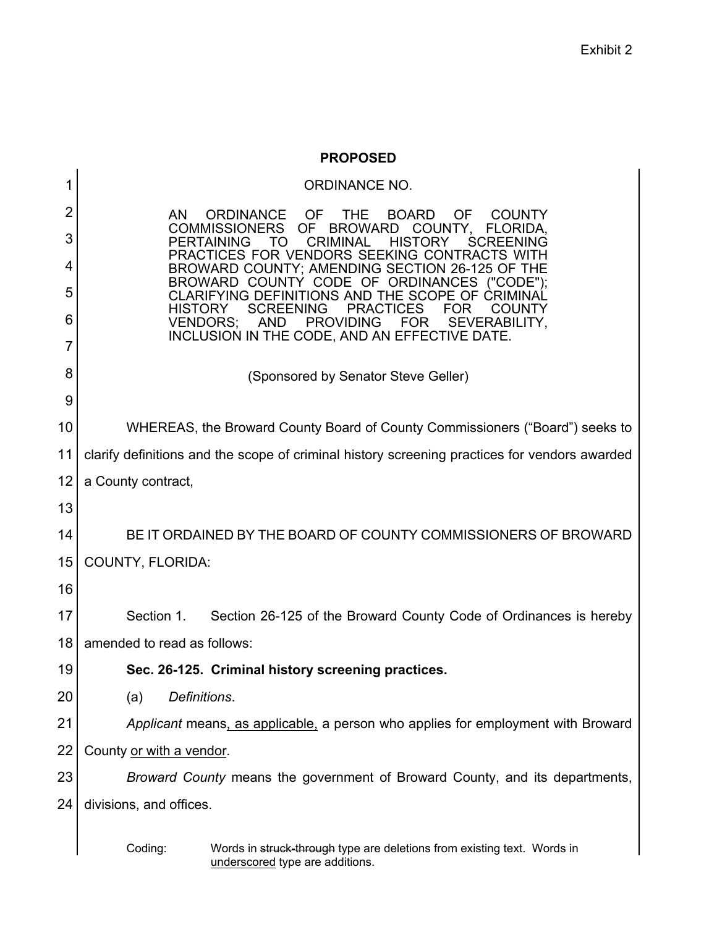## **PROPOSED**

| 1              | <b>ORDINANCE NO.</b>                                                                                                                                                                     |  |  |  |  |
|----------------|------------------------------------------------------------------------------------------------------------------------------------------------------------------------------------------|--|--|--|--|
| $\overline{2}$ | ORDINANCE OF<br><b>THE</b><br>AN.<br><b>BOARD</b><br><b>OF</b><br><b>COUNTY</b>                                                                                                          |  |  |  |  |
| 3              | OF BROWARD COUNTY,<br><b>COMMISSIONERS</b><br>FLORIDA,<br><b>CRIMINAL</b><br><b>HISTORY</b><br><b>PERTAINING</b><br>TO<br><b>SCREENING</b>                                               |  |  |  |  |
| 4              | PRACTICES FOR VENDORS SEEKING CONTRACTS WITH<br>BROWARD COUNTY; AMENDING SECTION 26-125 OF THE                                                                                           |  |  |  |  |
| 5              | BROWARD COUNTY CODE OF ORDINANCES ("CODE");<br>CLARIFYING DEFINITIONS AND THE SCOPE OF CRIMINAL<br><b>SCREENING</b><br><b>PRACTICES</b><br><b>FOR</b><br><b>HISTORY</b><br><b>COUNTY</b> |  |  |  |  |
| 6              | AND PROVIDING FOR<br>SEVERABILITY,<br><b>VENDORS;</b><br>INCLUSION IN THE CODE, AND AN EFFECTIVE DATE.                                                                                   |  |  |  |  |
| 7              |                                                                                                                                                                                          |  |  |  |  |
| 8              | (Sponsored by Senator Steve Geller)                                                                                                                                                      |  |  |  |  |
| 9              |                                                                                                                                                                                          |  |  |  |  |
| 10             | WHEREAS, the Broward County Board of County Commissioners ("Board") seeks to                                                                                                             |  |  |  |  |
| 11             | clarify definitions and the scope of criminal history screening practices for vendors awarded                                                                                            |  |  |  |  |
| 12             | a County contract,                                                                                                                                                                       |  |  |  |  |
| 13             |                                                                                                                                                                                          |  |  |  |  |
| 14             | BE IT ORDAINED BY THE BOARD OF COUNTY COMMISSIONERS OF BROWARD                                                                                                                           |  |  |  |  |
| 15             | <b>COUNTY, FLORIDA:</b>                                                                                                                                                                  |  |  |  |  |
| 16             |                                                                                                                                                                                          |  |  |  |  |
| 17             | Section 1.<br>Section 26-125 of the Broward County Code of Ordinances is hereby                                                                                                          |  |  |  |  |
| 18             | amended to read as follows:                                                                                                                                                              |  |  |  |  |
| 19             | Sec. 26-125. Criminal history screening practices.                                                                                                                                       |  |  |  |  |
| 20             | Definitions.<br>(a)                                                                                                                                                                      |  |  |  |  |
| 21             | Applicant means, as applicable, a person who applies for employment with Broward                                                                                                         |  |  |  |  |
| 22             | County or with a vendor.                                                                                                                                                                 |  |  |  |  |
| 23             | Broward County means the government of Broward County, and its departments,                                                                                                              |  |  |  |  |
| 24             | divisions, and offices.                                                                                                                                                                  |  |  |  |  |
|                | Coding:<br>Words in struck-through type are deletions from existing text. Words in<br>underscored type are additions.                                                                    |  |  |  |  |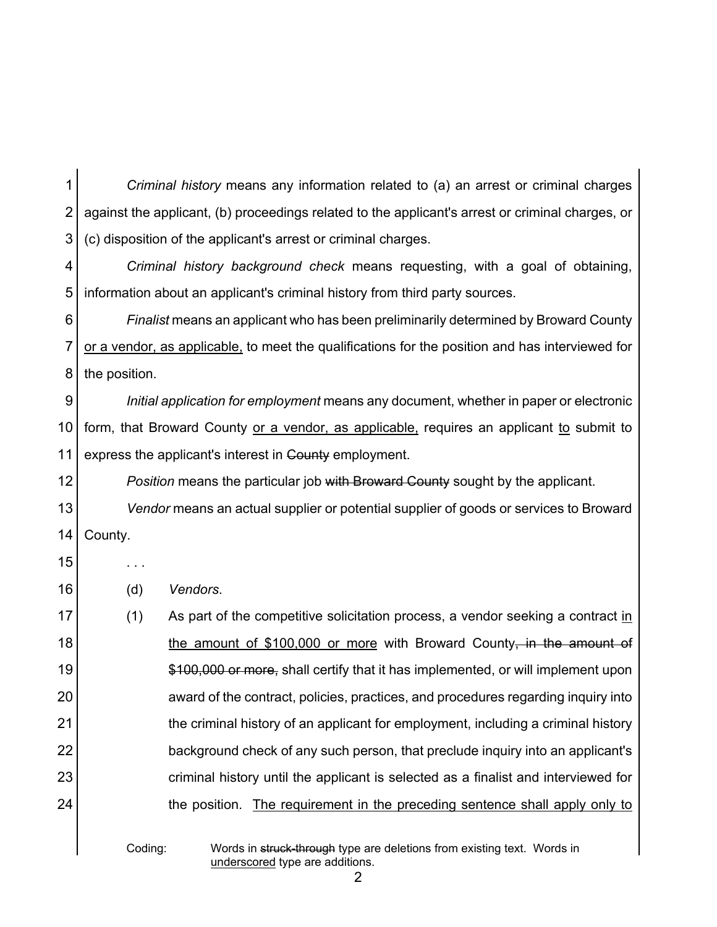1 2 3 *Criminal history* means any information related to (a) an arrest or criminal charges against the applicant, (b) proceedings related to the applicant's arrest or criminal charges, or (c) disposition of the applicant's arrest or criminal charges.

4 5 *Criminal history background check* means requesting, with a goal of obtaining, information about an applicant's criminal history from third party sources.

6 7 8 *Finalist* means an applicant who has been preliminarily determined by Broward County or a vendor, as applicable, to meet the qualifications for the position and has interviewed for the position.

9 10 11 *Initial application for employment* means any document, whether in paper or electronic form, that Broward County or a vendor, as applicable, requires an applicant to submit to express the applicant's interest in County employment.

12 **Position** means the particular job with Broward County sought by the applicant.

13 14 *Vendor* means an actual supplier or potential supplier of goods or services to Broward County.

15

16 (d) *Vendors*.

. . .

17 18 19 20 21 22 23 24  $(1)$  As part of the competitive solicitation process, a vendor seeking a contract in the amount of \$100,000 or more with Broward County, in the amount of \$100,000 or more, shall certify that it has implemented, or will implement upon award of the contract, policies, practices, and procedures regarding inquiry into the criminal history of an applicant for employment, including a criminal history background check of any such person, that preclude inquiry into an applicant's criminal history until the applicant is selected as a finalist and interviewed for the position. The requirement in the preceding sentence shall apply only to

Coding: Words in struck-through type are deletions from existing text. Words in underscored type are additions.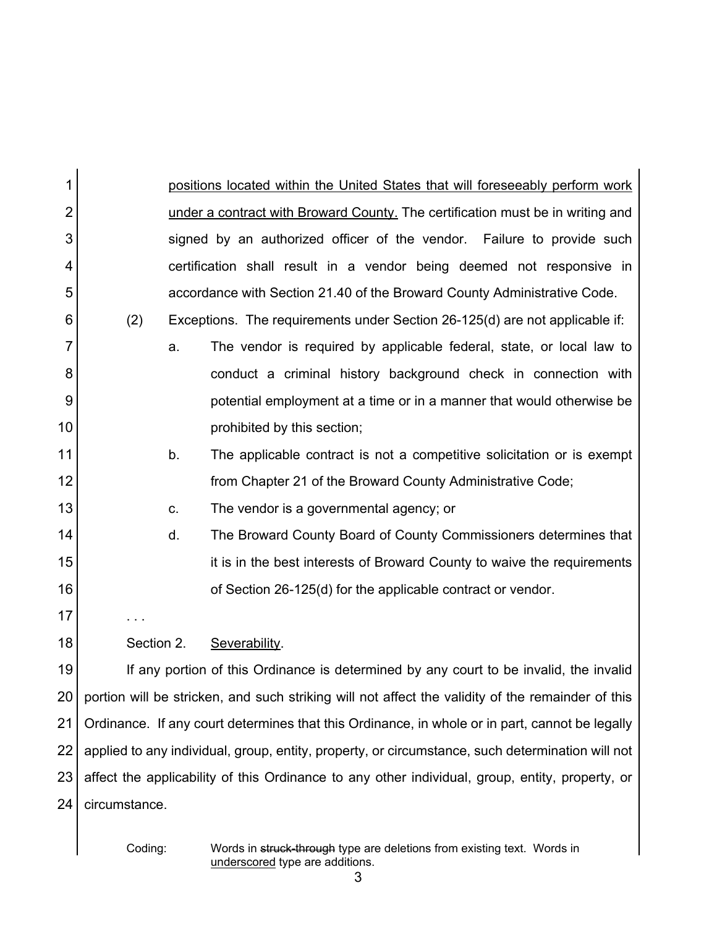| 1              |                                                                                                   |    | positions located within the United States that will foreseeably perform work          |  |
|----------------|---------------------------------------------------------------------------------------------------|----|----------------------------------------------------------------------------------------|--|
| $\overline{2}$ |                                                                                                   |    | under a contract with Broward County. The certification must be in writing and         |  |
| 3              |                                                                                                   |    | signed by an authorized officer of the vendor. Failure to provide such                 |  |
| 4              |                                                                                                   |    | certification shall result in a vendor being deemed not responsive in                  |  |
| 5              |                                                                                                   |    | accordance with Section 21.40 of the Broward County Administrative Code.               |  |
| 6              | (2)                                                                                               |    | Exceptions. The requirements under Section 26-125(d) are not applicable if:            |  |
| $\overline{7}$ |                                                                                                   | a. | The vendor is required by applicable federal, state, or local law to                   |  |
| 8              |                                                                                                   |    | conduct a criminal history background check in connection with                         |  |
| 9              |                                                                                                   |    | potential employment at a time or in a manner that would otherwise be                  |  |
| 10             |                                                                                                   |    | prohibited by this section;                                                            |  |
| 11             |                                                                                                   | b. | The applicable contract is not a competitive solicitation or is exempt                 |  |
| 12             |                                                                                                   |    | from Chapter 21 of the Broward County Administrative Code;                             |  |
| 13             |                                                                                                   | C. | The vendor is a governmental agency; or                                                |  |
| 14             |                                                                                                   | d. | The Broward County Board of County Commissioners determines that                       |  |
| 15             |                                                                                                   |    | it is in the best interests of Broward County to waive the requirements                |  |
| 16             |                                                                                                   |    | of Section 26-125(d) for the applicable contract or vendor.                            |  |
| 17             |                                                                                                   |    |                                                                                        |  |
| 18             | Section 2.                                                                                        |    | Severability.                                                                          |  |
| 19             |                                                                                                   |    | If any portion of this Ordinance is determined by any court to be invalid, the invalid |  |
| 20             | portion will be stricken, and such striking will not affect the validity of the remainder of this |    |                                                                                        |  |
| 21             | Ordinance. If any court determines that this Ordinance, in whole or in part, cannot be legally    |    |                                                                                        |  |
| 22             | applied to any individual, group, entity, property, or circumstance, such determination will not  |    |                                                                                        |  |
| 23             | affect the applicability of this Ordinance to any other individual, group, entity, property, or   |    |                                                                                        |  |
| 24             | circumstance.                                                                                     |    |                                                                                        |  |
|                |                                                                                                   |    |                                                                                        |  |

Coding: Words in <del>struck-through</del> type are deletions from existing text. Words in underscored type are additions.